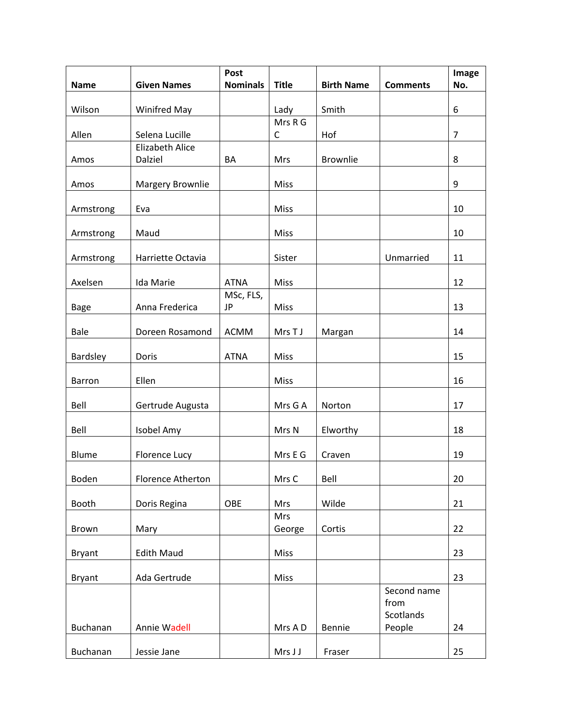| <b>Name</b>   | <b>Given Names</b>                | Post<br><b>Nominals</b> | <b>Title</b>         | <b>Birth Name</b> | <b>Comments</b>                  | Image<br>No.   |
|---------------|-----------------------------------|-------------------------|----------------------|-------------------|----------------------------------|----------------|
|               |                                   |                         |                      |                   |                                  |                |
| Wilson        | <b>Winifred May</b>               |                         | Lady                 | Smith             |                                  | 6              |
| Allen         | Selena Lucille                    |                         | Mrs R G<br>C         | Hof               |                                  | $\overline{7}$ |
| Amos          | <b>Elizabeth Alice</b><br>Dalziel | BA                      | <b>Mrs</b>           | <b>Brownlie</b>   |                                  | 8              |
| Amos          | <b>Margery Brownlie</b>           |                         | Miss                 |                   |                                  | 9              |
| Armstrong     | Eva                               |                         | Miss                 |                   |                                  | 10             |
| Armstrong     | Maud                              |                         | Miss                 |                   |                                  | 10             |
| Armstrong     | Harriette Octavia                 |                         | Sister               |                   | Unmarried                        | 11             |
| Axelsen       | Ida Marie                         | <b>ATNA</b>             | Miss                 |                   |                                  | 12             |
| <b>Bage</b>   | Anna Frederica                    | MSc, FLS,<br>JP         | Miss                 |                   |                                  | 13             |
| <b>Bale</b>   | Doreen Rosamond                   | <b>ACMM</b>             | Mrs T J              | Margan            |                                  | 14             |
| Bardsley      | Doris                             | <b>ATNA</b>             | Miss                 |                   |                                  | 15             |
| Barron        | Ellen                             |                         | Miss                 |                   |                                  | 16             |
| Bell          | Gertrude Augusta                  |                         | Mrs G A              | Norton            |                                  | 17             |
| Bell          | Isobel Amy                        |                         | Mrs N                | Elworthy          |                                  | 18             |
| <b>Blume</b>  | <b>Florence Lucy</b>              |                         | Mrs E G              | Craven            |                                  | 19             |
| Boden         | Florence Atherton                 |                         | Mrs C                | Bell              |                                  | 20             |
| Booth         | Doris Regina                      | OBE                     | Mrs                  | Wilde             |                                  | 21             |
| Brown         | Mary                              |                         | <b>Mrs</b><br>George | Cortis            |                                  | 22             |
| <b>Bryant</b> | <b>Edith Maud</b>                 |                         | Miss                 |                   |                                  | 23             |
| <b>Bryant</b> | Ada Gertrude                      |                         | Miss                 |                   |                                  | 23             |
|               |                                   |                         |                      |                   | Second name<br>from<br>Scotlands |                |
| Buchanan      | Annie Wadell                      |                         | Mrs A D              | Bennie            | People                           | 24             |
| Buchanan      | Jessie Jane                       |                         | Mrs J J              | Fraser            |                                  | 25             |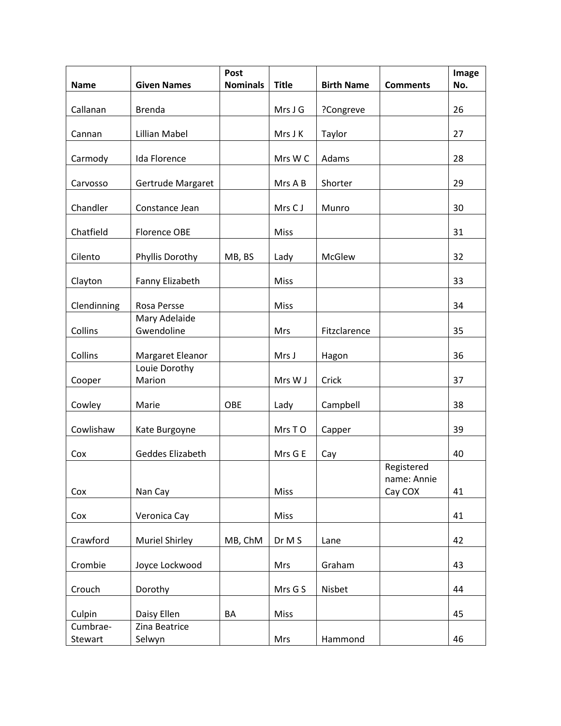| <b>Name</b> | <b>Given Names</b>          | Post<br><b>Nominals</b> | <b>Title</b> | <b>Birth Name</b> | <b>Comments</b>                      | Image<br>No. |
|-------------|-----------------------------|-------------------------|--------------|-------------------|--------------------------------------|--------------|
| Callanan    | <b>Brenda</b>               |                         | Mrs J G      | ?Congreve         |                                      | 26           |
|             |                             |                         |              |                   |                                      |              |
| Cannan      | <b>Lillian Mabel</b>        |                         | Mrs J K      | Taylor            |                                      | 27           |
| Carmody     | Ida Florence                |                         | Mrs W C      | Adams             |                                      | 28           |
| Carvosso    | Gertrude Margaret           |                         | Mrs A B      | Shorter           |                                      | 29           |
| Chandler    | Constance Jean              |                         | Mrs CJ       | Munro             |                                      | 30           |
| Chatfield   | <b>Florence OBE</b>         |                         | Miss         |                   |                                      | 31           |
| Cilento     | Phyllis Dorothy             | MB, BS                  | Lady         | <b>McGlew</b>     |                                      | 32           |
| Clayton     | Fanny Elizabeth             |                         | Miss         |                   |                                      | 33           |
| Clendinning | Rosa Persse                 |                         | Miss         |                   |                                      | 34           |
| Collins     | Mary Adelaide<br>Gwendoline |                         | Mrs          | Fitzclarence      |                                      | 35           |
| Collins     | Margaret Eleanor            |                         | Mrs J        | Hagon             |                                      | 36           |
| Cooper      | Louie Dorothy<br>Marion     |                         | Mrs W J      | Crick             |                                      | 37           |
| Cowley      | Marie                       | OBE                     | Lady         | Campbell          |                                      | 38           |
| Cowlishaw   | Kate Burgoyne               |                         | Mrs TO       | Capper            |                                      | 39           |
| Cox         | Geddes Elizabeth            |                         | Mrs G E      | Cay               |                                      | 40           |
| Cox         | Nan Cay                     |                         | Miss         |                   | Registered<br>name: Annie<br>Cay COX | 41           |
|             |                             |                         |              |                   |                                      |              |
| Cox         | Veronica Cay                |                         | <b>Miss</b>  |                   |                                      | 41           |
| Crawford    | <b>Muriel Shirley</b>       | MB, ChM                 | Dr M S       | Lane              |                                      | 42           |
| Crombie     | Joyce Lockwood              |                         | Mrs          | Graham            |                                      | 43           |
| Crouch      | Dorothy                     |                         | Mrs G S      | Nisbet            |                                      | 44           |
| Culpin      | Daisy Ellen                 | BA                      | Miss         |                   |                                      | 45           |
| Cumbrae-    | Zina Beatrice               |                         |              |                   |                                      |              |
| Stewart     | Selwyn                      |                         | Mrs          | Hammond           |                                      | 46           |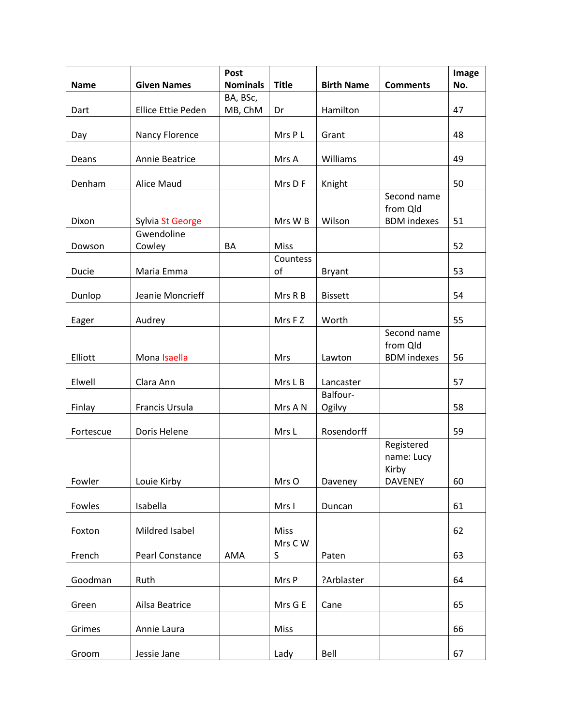|             |                           | Post            |              |                    |                                                     | Image |
|-------------|---------------------------|-----------------|--------------|--------------------|-----------------------------------------------------|-------|
| <b>Name</b> | <b>Given Names</b>        | <b>Nominals</b> | <b>Title</b> | <b>Birth Name</b>  | <b>Comments</b>                                     | No.   |
|             |                           | BA, BSc,        |              |                    |                                                     |       |
| Dart        | <b>Ellice Ettie Peden</b> | MB, ChM         | Dr           | Hamilton           |                                                     | 47    |
| Day         | Nancy Florence            |                 | Mrs P L      | Grant              |                                                     | 48    |
| Deans       | Annie Beatrice            |                 | Mrs A        | Williams           |                                                     | 49    |
| Denham      | Alice Maud                |                 | Mrs D F      | Knight             |                                                     | 50    |
|             |                           |                 |              |                    | Second name<br>from Qld                             |       |
| Dixon       | Sylvia St George          |                 | Mrs W B      | Wilson             | <b>BDM</b> indexes                                  | 51    |
| Dowson      | Gwendoline<br>Cowley      | BA              | <b>Miss</b>  |                    |                                                     | 52    |
|             |                           |                 | Countess     |                    |                                                     |       |
| Ducie       | Maria Emma                |                 | of           | <b>Bryant</b>      |                                                     | 53    |
| Dunlop      | Jeanie Moncrieff          |                 | Mrs R B      | <b>Bissett</b>     |                                                     | 54    |
| Eager       | Audrey                    |                 | Mrs F Z      | Worth              |                                                     | 55    |
| Elliott     | Mona Isaella              |                 | Mrs          | Lawton             | Second name<br>from Qld<br><b>BDM</b> indexes       | 56    |
| Elwell      | Clara Ann                 |                 | Mrs L B      | Lancaster          |                                                     | 57    |
| Finlay      | Francis Ursula            |                 | Mrs A N      | Balfour-<br>Ogilvy |                                                     | 58    |
| Fortescue   | Doris Helene              |                 | Mrs L        | Rosendorff         |                                                     | 59    |
| Fowler      | Louie Kirby               |                 | Mrs O        | Daveney            | Registered<br>name: Lucy<br>Kirby<br><b>DAVENEY</b> | 60    |
| Fowles      | Isabella                  |                 | Mrs I        | Duncan             |                                                     | 61    |
| Foxton      | Mildred Isabel            |                 | <b>Miss</b>  |                    |                                                     | 62    |
| French      | Pearl Constance           | AMA             | Mrs C W<br>S | Paten              |                                                     | 63    |
| Goodman     | Ruth                      |                 | Mrs P        | ?Arblaster         |                                                     | 64    |
| Green       | Ailsa Beatrice            |                 | Mrs G E      | Cane               |                                                     | 65    |
| Grimes      | Annie Laura               |                 | <b>Miss</b>  |                    |                                                     | 66    |
| Groom       | Jessie Jane               |                 | Lady         | Bell               |                                                     | 67    |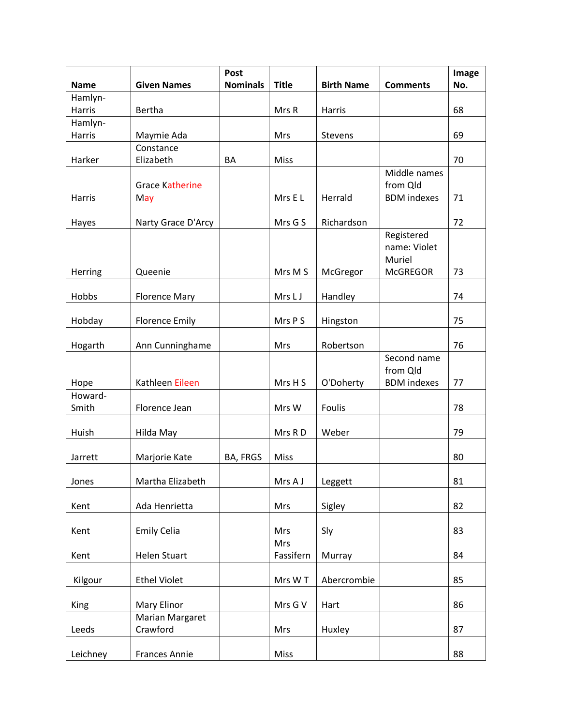| <b>Name</b>      | <b>Given Names</b>            | Post<br><b>Nominals</b> | <b>Title</b>     | <b>Birth Name</b> | <b>Comments</b>                                         | Image<br>No. |
|------------------|-------------------------------|-------------------------|------------------|-------------------|---------------------------------------------------------|--------------|
| Hamlyn-          |                               |                         |                  |                   |                                                         |              |
| Harris           | Bertha                        |                         | Mrs R            | Harris            |                                                         | 68           |
| Hamlyn-          |                               |                         |                  |                   |                                                         |              |
| Harris           | Maymie Ada                    |                         | Mrs              | Stevens           |                                                         | 69           |
| Harker           | Constance<br>Elizabeth        | BA                      | Miss             |                   |                                                         | 70           |
| Harris           | <b>Grace Katherine</b><br>May |                         | Mrs E L          | Herrald           | Middle names<br>from Qld<br><b>BDM</b> indexes          | 71           |
|                  |                               |                         |                  |                   |                                                         |              |
| Hayes            | Narty Grace D'Arcy            |                         | Mrs G S          | Richardson        |                                                         | 72           |
| Herring          | Queenie                       |                         | Mrs M S          | McGregor          | Registered<br>name: Violet<br>Muriel<br><b>McGREGOR</b> | 73           |
| Hobbs            | <b>Florence Mary</b>          |                         | Mrs L J          | Handley           |                                                         | 74           |
| Hobday           | <b>Florence Emily</b>         |                         | Mrs P S          | Hingston          |                                                         | 75           |
| Hogarth          | Ann Cunninghame               |                         | Mrs              | Robertson         |                                                         | 76           |
| Hope             | Kathleen Eileen               |                         | Mrs H S          | O'Doherty         | Second name<br>from Qld<br><b>BDM</b> indexes           | 77           |
| Howard-<br>Smith | Florence Jean                 |                         | Mrs W            | Foulis            |                                                         | 78           |
| Huish            | Hilda May                     |                         | Mrs RD           | Weber             |                                                         | 79           |
| Jarrett          | Marjorie Kate                 | BA, FRGS                | <b>Miss</b>      |                   |                                                         | 80           |
| Jones            | Martha Elizabeth              |                         | Mrs A J          | Leggett           |                                                         | 81           |
| Kent             | Ada Henrietta                 |                         | Mrs              | Sigley            |                                                         | 82           |
| Kent             | <b>Emily Celia</b>            |                         | <b>Mrs</b>       | Sly               |                                                         | 83           |
| Kent             | <b>Helen Stuart</b>           |                         | Mrs<br>Fassifern | Murray            |                                                         | 84           |
| Kilgour          | <b>Ethel Violet</b>           |                         | Mrs WT           | Abercrombie       |                                                         | 85           |
| King             | Mary Elinor                   |                         | Mrs G V          | Hart              |                                                         | 86           |
| Leeds            | Marian Margaret<br>Crawford   |                         | Mrs              | Huxley            |                                                         | 87           |
| Leichney         | <b>Frances Annie</b>          |                         | Miss             |                   |                                                         | 88           |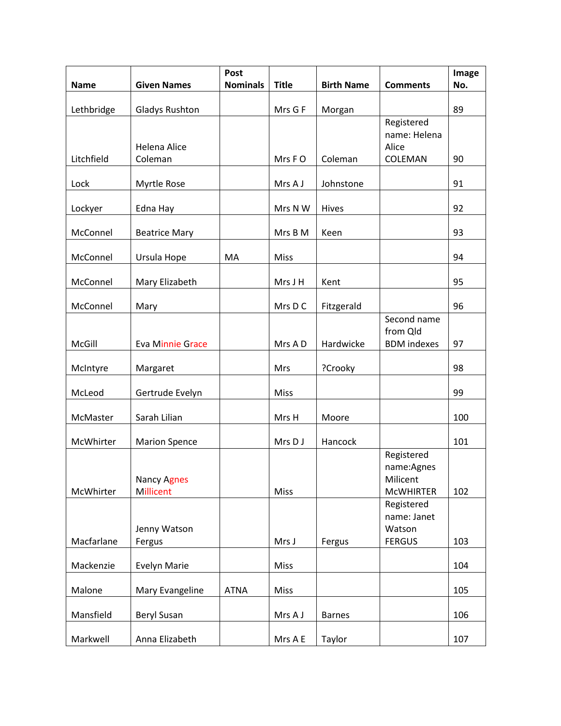|             |                                 | Post            |              |                   |                                                          | Image |
|-------------|---------------------------------|-----------------|--------------|-------------------|----------------------------------------------------------|-------|
| <b>Name</b> | <b>Given Names</b>              | <b>Nominals</b> | <b>Title</b> | <b>Birth Name</b> | <b>Comments</b>                                          | No.   |
| Lethbridge  | <b>Gladys Rushton</b>           |                 | Mrs G F      | Morgan            |                                                          | 89    |
|             | <b>Helena Alice</b>             |                 |              |                   | Registered<br>name: Helena<br>Alice                      |       |
| Litchfield  | Coleman                         |                 | Mrs FO       | Coleman           | COLEMAN                                                  | 90    |
| Lock        | Myrtle Rose                     |                 | Mrs A J      | Johnstone         |                                                          | 91    |
| Lockyer     | Edna Hay                        |                 | Mrs N W      | Hives             |                                                          | 92    |
| McConnel    | <b>Beatrice Mary</b>            |                 | Mrs B M      | Keen              |                                                          | 93    |
| McConnel    | Ursula Hope                     | MA              | <b>Miss</b>  |                   |                                                          | 94    |
| McConnel    | Mary Elizabeth                  |                 | Mrs J H      | Kent              |                                                          | 95    |
| McConnel    | Mary                            |                 | Mrs D C      | Fitzgerald        |                                                          | 96    |
| McGill      | <b>Eva Minnie Grace</b>         |                 | Mrs A D      | Hardwicke         | Second name<br>from Qld<br><b>BDM</b> indexes            | 97    |
| McIntyre    | Margaret                        |                 | <b>Mrs</b>   | ?Crooky           |                                                          | 98    |
| McLeod      | Gertrude Evelyn                 |                 | Miss         |                   |                                                          | 99    |
| McMaster    | Sarah Lilian                    |                 | Mrs H        | Moore             |                                                          | 100   |
| McWhirter   | <b>Marion Spence</b>            |                 | Mrs D J      | Hancock           |                                                          | 101   |
| McWhirter   | <b>Nancy Agnes</b><br>Millicent |                 | Miss         |                   | Registered<br>name:Agnes<br>Milicent<br><b>MCWHIRTER</b> | 102   |
|             | Jenny Watson                    |                 |              |                   | Registered<br>name: Janet<br>Watson                      |       |
| Macfarlane  | Fergus                          |                 | Mrs J        | Fergus            | <b>FERGUS</b>                                            | 103   |
| Mackenzie   | <b>Evelyn Marie</b>             |                 | Miss         |                   |                                                          | 104   |
| Malone      | Mary Evangeline                 | <b>ATNA</b>     | Miss         |                   |                                                          | 105   |
| Mansfield   | Beryl Susan                     |                 | Mrs A J      | <b>Barnes</b>     |                                                          | 106   |
| Markwell    | Anna Elizabeth                  |                 | Mrs A E      | Taylor            |                                                          | 107   |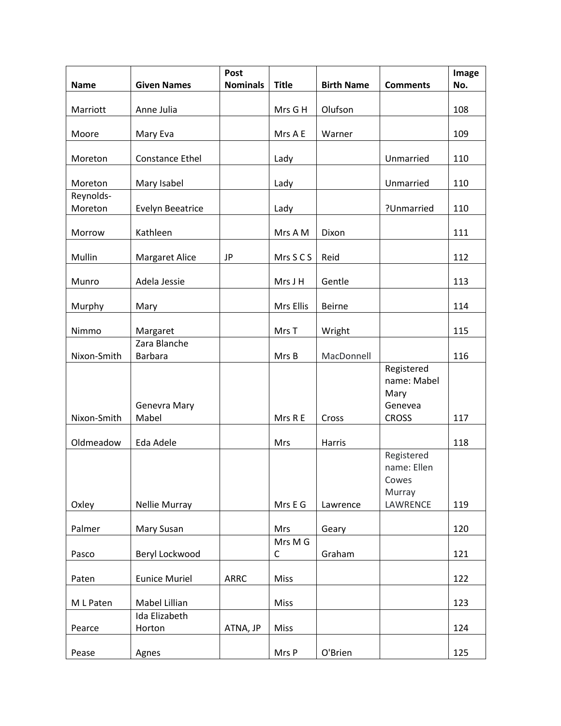| <b>Name</b>          | <b>Given Names</b>             | Post<br><b>Nominals</b> | <b>Title</b>   | <b>Birth Name</b>  | <b>Comments</b>                                          | Image<br>No. |
|----------------------|--------------------------------|-------------------------|----------------|--------------------|----------------------------------------------------------|--------------|
| Marriott             | Anne Julia                     |                         | Mrs G H        | Olufson            |                                                          | 108          |
| Moore                | Mary Eva                       |                         | Mrs A E        | Warner             |                                                          | 109          |
| Moreton              | Constance Ethel                |                         | Lady           |                    | Unmarried                                                | 110          |
| Moreton              | Mary Isabel                    |                         | Lady           |                    | Unmarried                                                | 110          |
| Reynolds-<br>Moreton | <b>Evelyn Beeatrice</b>        |                         | Lady           |                    | ?Unmarried                                               | 110          |
| Morrow               | Kathleen                       |                         | Mrs A M        | Dixon              |                                                          | 111          |
| Mullin               | <b>Margaret Alice</b>          | JP                      | Mrs S C S      | Reid               |                                                          | 112          |
| Munro                | Adela Jessie                   |                         | Mrs J H        | Gentle             |                                                          | 113          |
| Murphy               | Mary                           |                         | Mrs Ellis      | <b>Beirne</b>      |                                                          | 114          |
| Nimmo                | Margaret                       |                         | Mrs T          | Wright             |                                                          | 115          |
| Nixon-Smith          | Zara Blanche<br><b>Barbara</b> |                         | Mrs B          | MacDonnell         |                                                          | 116          |
|                      | Genevra Mary                   |                         |                |                    | Registered<br>name: Mabel<br>Mary<br>Genevea             |              |
| Nixon-Smith          | Mabel                          |                         | Mrs R E        | Cross              | <b>CROSS</b>                                             | 117          |
| Oldmeadow<br>Oxley   | Eda Adele<br>Nellie Murray     |                         | Mrs<br>Mrs E G | Harris<br>Lawrence | Registered<br>name: Ellen<br>Cowes<br>Murray<br>LAWRENCE | 118<br>119   |
| Palmer               | Mary Susan                     |                         | <b>Mrs</b>     | Geary              |                                                          | 120          |
| Pasco                | Beryl Lockwood                 |                         | Mrs M G<br>C   | Graham             |                                                          | 121          |
| Paten                | <b>Eunice Muriel</b>           | <b>ARRC</b>             | Miss           |                    |                                                          | 122          |
| M L Paten            | Mabel Lillian<br>Ida Elizabeth |                         | Miss           |                    |                                                          | 123          |
| Pearce               | Horton                         | ATNA, JP                | Miss           |                    |                                                          | 124          |
| Pease                | Agnes                          |                         | Mrs P          | O'Brien            |                                                          | 125          |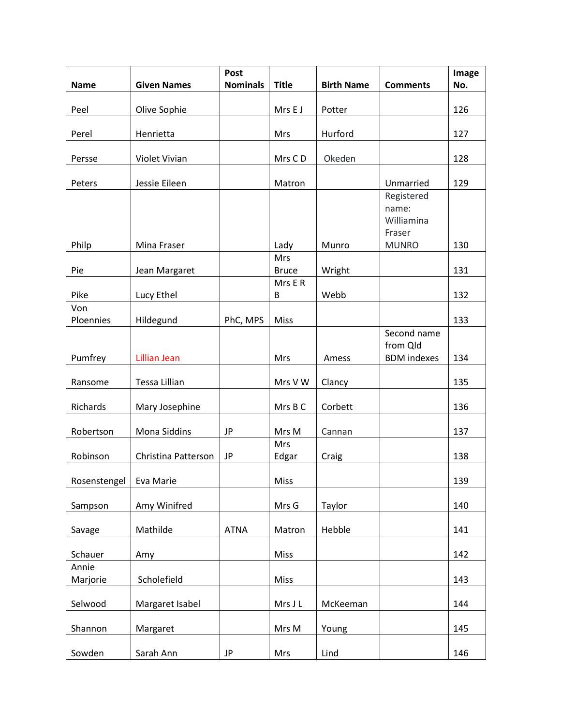|              |                     | Post            |                            |                   |                                   | Image |
|--------------|---------------------|-----------------|----------------------------|-------------------|-----------------------------------|-------|
| <b>Name</b>  | <b>Given Names</b>  | <b>Nominals</b> | <b>Title</b>               | <b>Birth Name</b> | <b>Comments</b>                   | No.   |
| Peel         | Olive Sophie        |                 | Mrs E J                    | Potter            |                                   | 126   |
| Perel        | Henrietta           |                 | Mrs                        | Hurford           |                                   | 127   |
| Persse       | Violet Vivian       |                 | Mrs CD                     | Okeden            |                                   | 128   |
| Peters       | Jessie Eileen       |                 | Matron                     |                   | Unmarried                         | 129   |
|              |                     |                 |                            |                   | Registered<br>name:<br>Williamina |       |
|              |                     |                 |                            |                   | Fraser                            |       |
| Philp        | Mina Fraser         |                 | Lady                       | Munro             | <b>MUNRO</b>                      | 130   |
| Pie          | Jean Margaret       |                 | <b>Mrs</b><br><b>Bruce</b> | Wright            |                                   | 131   |
|              |                     |                 | Mrs E R                    |                   |                                   |       |
| Pike         | Lucy Ethel          |                 | B                          | Webb              |                                   | 132   |
| Von          |                     |                 |                            |                   |                                   |       |
| Ploennies    | Hildegund           | PhC, MPS        | Miss                       |                   | Second name                       | 133   |
| Pumfrey      | <b>Lillian Jean</b> |                 | Mrs                        | Amess             | from Qld<br><b>BDM</b> indexes    | 134   |
| Ransome      | Tessa Lillian       |                 | Mrs V W                    | Clancy            |                                   | 135   |
| Richards     | Mary Josephine      |                 | Mrs B C                    | Corbett           |                                   | 136   |
| Robertson    | Mona Siddins        | JP              | Mrs M                      | Cannan            |                                   | 137   |
| Robinson     | Christina Patterson | JP              | Mrs<br>Edgar               | Craig             |                                   | 138   |
| Rosenstengel | Eva Marie           |                 | Miss                       |                   |                                   | 139   |
| Sampson      | Amy Winifred        |                 | Mrs G                      | Taylor            |                                   | 140   |
| Savage       | Mathilde            | <b>ATNA</b>     | Matron                     | Hebble            |                                   | 141   |
| Schauer      | Amy                 |                 | Miss                       |                   |                                   | 142   |
| Annie        |                     |                 |                            |                   |                                   |       |
| Marjorie     | Scholefield         |                 | <b>Miss</b>                |                   |                                   | 143   |
| Selwood      | Margaret Isabel     |                 | Mrs J L                    | McKeeman          |                                   | 144   |
| Shannon      | Margaret            |                 | Mrs M                      | Young             |                                   | 145   |
| Sowden       | Sarah Ann           | JP              | Mrs                        | Lind              |                                   | 146   |